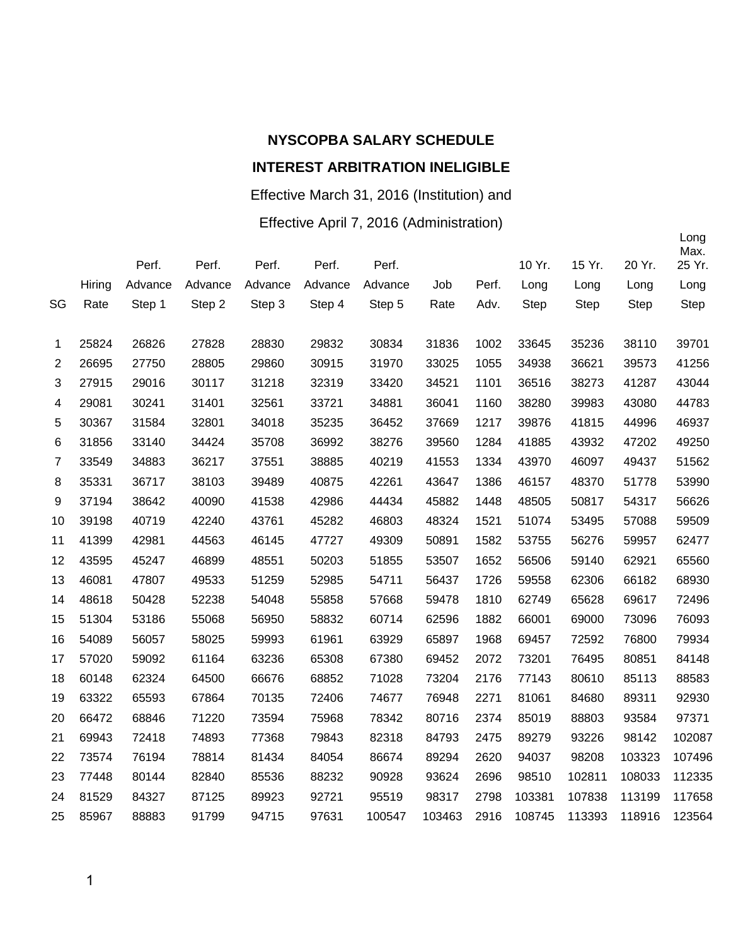#### Effective March 31, 2016 (Institution) and

#### Effective April 7, 2016 (Administration)

|                |        |         |         |         |         |         |        |       |             |             |             | Long<br>Max. |
|----------------|--------|---------|---------|---------|---------|---------|--------|-------|-------------|-------------|-------------|--------------|
|                |        | Perf.   | Perf.   | Perf.   | Perf.   | Perf.   |        |       | 10 Yr.      | 15 Yr.      | 20 Yr.      | 25 Yr.       |
|                | Hiring | Advance | Advance | Advance | Advance | Advance | Job    | Perf. | Long        | Long        | Long        | Long         |
| SG             | Rate   | Step 1  | Step 2  | Step 3  | Step 4  | Step 5  | Rate   | Adv.  | <b>Step</b> | <b>Step</b> | <b>Step</b> | <b>Step</b>  |
| 1              | 25824  | 26826   | 27828   | 28830   | 29832   | 30834   | 31836  | 1002  | 33645       | 35236       | 38110       | 39701        |
| $\overline{2}$ | 26695  | 27750   | 28805   | 29860   | 30915   | 31970   | 33025  | 1055  | 34938       | 36621       | 39573       | 41256        |
| 3              | 27915  | 29016   | 30117   | 31218   | 32319   | 33420   | 34521  | 1101  | 36516       | 38273       | 41287       | 43044        |
| 4              | 29081  | 30241   | 31401   | 32561   | 33721   | 34881   | 36041  | 1160  | 38280       | 39983       | 43080       | 44783        |
| 5              | 30367  | 31584   | 32801   | 34018   | 35235   | 36452   | 37669  | 1217  | 39876       | 41815       | 44996       | 46937        |
| 6              | 31856  | 33140   | 34424   | 35708   | 36992   | 38276   | 39560  | 1284  | 41885       | 43932       | 47202       | 49250        |
| $\overline{7}$ | 33549  | 34883   | 36217   | 37551   | 38885   | 40219   | 41553  | 1334  | 43970       | 46097       | 49437       | 51562        |
| 8              | 35331  | 36717   | 38103   | 39489   | 40875   | 42261   | 43647  | 1386  | 46157       | 48370       | 51778       | 53990        |
| 9              | 37194  | 38642   | 40090   | 41538   | 42986   | 44434   | 45882  | 1448  | 48505       | 50817       | 54317       | 56626        |
| 10             | 39198  | 40719   | 42240   | 43761   | 45282   | 46803   | 48324  | 1521  | 51074       | 53495       | 57088       | 59509        |
| 11             | 41399  | 42981   | 44563   | 46145   | 47727   | 49309   | 50891  | 1582  | 53755       | 56276       | 59957       | 62477        |
| 12             | 43595  | 45247   | 46899   | 48551   | 50203   | 51855   | 53507  | 1652  | 56506       | 59140       | 62921       | 65560        |
| 13             | 46081  | 47807   | 49533   | 51259   | 52985   | 54711   | 56437  | 1726  | 59558       | 62306       | 66182       | 68930        |
| 14             | 48618  | 50428   | 52238   | 54048   | 55858   | 57668   | 59478  | 1810  | 62749       | 65628       | 69617       | 72496        |
| 15             | 51304  | 53186   | 55068   | 56950   | 58832   | 60714   | 62596  | 1882  | 66001       | 69000       | 73096       | 76093        |
| 16             | 54089  | 56057   | 58025   | 59993   | 61961   | 63929   | 65897  | 1968  | 69457       | 72592       | 76800       | 79934        |
| 17             | 57020  | 59092   | 61164   | 63236   | 65308   | 67380   | 69452  | 2072  | 73201       | 76495       | 80851       | 84148        |
| 18             | 60148  | 62324   | 64500   | 66676   | 68852   | 71028   | 73204  | 2176  | 77143       | 80610       | 85113       | 88583        |
| 19             | 63322  | 65593   | 67864   | 70135   | 72406   | 74677   | 76948  | 2271  | 81061       | 84680       | 89311       | 92930        |
| 20             | 66472  | 68846   | 71220   | 73594   | 75968   | 78342   | 80716  | 2374  | 85019       | 88803       | 93584       | 97371        |
| 21             | 69943  | 72418   | 74893   | 77368   | 79843   | 82318   | 84793  | 2475  | 89279       | 93226       | 98142       | 102087       |
| 22             | 73574  | 76194   | 78814   | 81434   | 84054   | 86674   | 89294  | 2620  | 94037       | 98208       | 103323      | 107496       |
| 23             | 77448  | 80144   | 82840   | 85536   | 88232   | 90928   | 93624  | 2696  | 98510       | 102811      | 108033      | 112335       |
| 24             | 81529  | 84327   | 87125   | 89923   | 92721   | 95519   | 98317  | 2798  | 103381      | 107838      | 113199      | 117658       |
| 25             | 85967  | 88883   | 91799   | 94715   | 97631   | 100547  | 103463 | 2916  | 108745      | 113393      | 118916      | 123564       |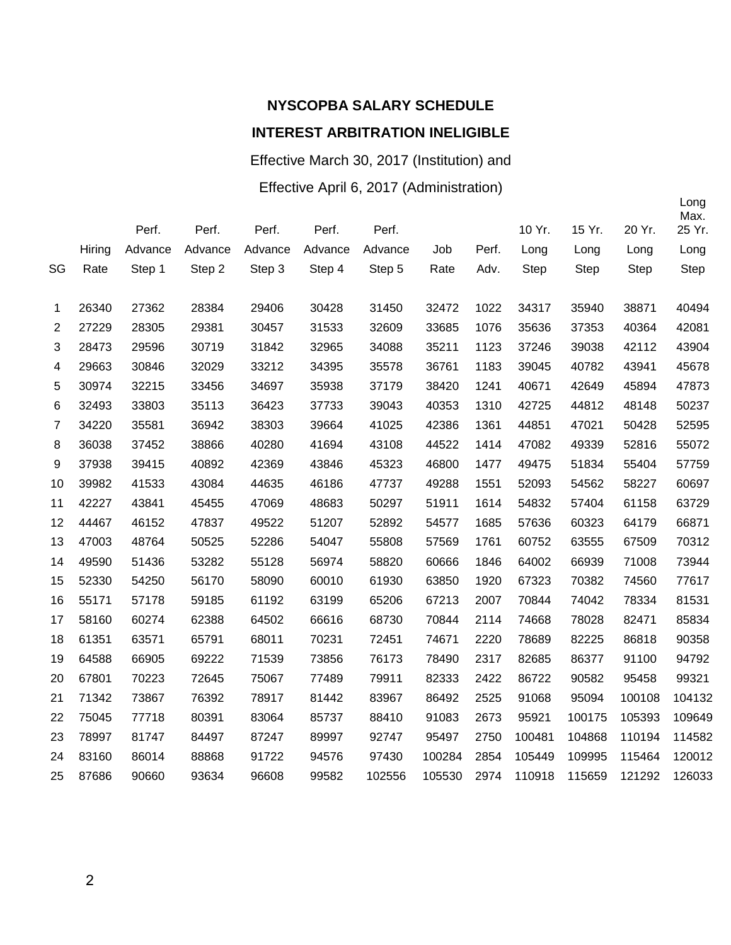# **NYSCOPBA SALARY SCHEDULE**

#### **INTEREST ARBITRATION INELIGIBLE**

Effective March 30, 2017 (Institution) and

Effective April 6, 2017 (Administration)

|                |        | Perf.   | Perf.   | Perf.   | Perf.   | Perf.   |        |       | 10 Yr. | 15 Yr.      | 20 Yr. | Long<br>Max.<br>25 Yr. |
|----------------|--------|---------|---------|---------|---------|---------|--------|-------|--------|-------------|--------|------------------------|
|                | Hiring | Advance | Advance | Advance | Advance | Advance | Job    | Perf. | Long   | Long        | Long   | Long                   |
| SG             | Rate   | Step 1  | Step 2  | Step 3  | Step 4  | Step 5  | Rate   | Adv.  | Step   | <b>Step</b> | Step   | Step                   |
| 1              | 26340  | 27362   | 28384   | 29406   | 30428   | 31450   | 32472  | 1022  | 34317  | 35940       | 38871  | 40494                  |
| $\overline{2}$ | 27229  | 28305   | 29381   | 30457   | 31533   | 32609   | 33685  | 1076  | 35636  | 37353       | 40364  | 42081                  |
| 3              | 28473  | 29596   | 30719   | 31842   | 32965   | 34088   | 35211  | 1123  | 37246  | 39038       | 42112  | 43904                  |
| 4              | 29663  | 30846   | 32029   | 33212   | 34395   | 35578   | 36761  | 1183  | 39045  | 40782       | 43941  | 45678                  |
| 5              | 30974  | 32215   | 33456   | 34697   | 35938   | 37179   | 38420  | 1241  | 40671  | 42649       | 45894  | 47873                  |
| $\,6$          | 32493  | 33803   | 35113   | 36423   | 37733   | 39043   | 40353  | 1310  | 42725  | 44812       | 48148  | 50237                  |
| $\overline{7}$ | 34220  | 35581   | 36942   | 38303   | 39664   | 41025   | 42386  | 1361  | 44851  | 47021       | 50428  | 52595                  |
| 8              | 36038  | 37452   | 38866   | 40280   | 41694   | 43108   | 44522  | 1414  | 47082  | 49339       | 52816  | 55072                  |
| 9              | 37938  | 39415   | 40892   | 42369   | 43846   | 45323   | 46800  | 1477  | 49475  | 51834       | 55404  | 57759                  |
| 10             | 39982  | 41533   | 43084   | 44635   | 46186   | 47737   | 49288  | 1551  | 52093  | 54562       | 58227  | 60697                  |
| 11             | 42227  | 43841   | 45455   | 47069   | 48683   | 50297   | 51911  | 1614  | 54832  | 57404       | 61158  | 63729                  |
| 12             | 44467  | 46152   | 47837   | 49522   | 51207   | 52892   | 54577  | 1685  | 57636  | 60323       | 64179  | 66871                  |
| 13             | 47003  | 48764   | 50525   | 52286   | 54047   | 55808   | 57569  | 1761  | 60752  | 63555       | 67509  | 70312                  |
| 14             | 49590  | 51436   | 53282   | 55128   | 56974   | 58820   | 60666  | 1846  | 64002  | 66939       | 71008  | 73944                  |
| 15             | 52330  | 54250   | 56170   | 58090   | 60010   | 61930   | 63850  | 1920  | 67323  | 70382       | 74560  | 77617                  |
| 16             | 55171  | 57178   | 59185   | 61192   | 63199   | 65206   | 67213  | 2007  | 70844  | 74042       | 78334  | 81531                  |
| 17             | 58160  | 60274   | 62388   | 64502   | 66616   | 68730   | 70844  | 2114  | 74668  | 78028       | 82471  | 85834                  |
| 18             | 61351  | 63571   | 65791   | 68011   | 70231   | 72451   | 74671  | 2220  | 78689  | 82225       | 86818  | 90358                  |
| 19             | 64588  | 66905   | 69222   | 71539   | 73856   | 76173   | 78490  | 2317  | 82685  | 86377       | 91100  | 94792                  |
| 20             | 67801  | 70223   | 72645   | 75067   | 77489   | 79911   | 82333  | 2422  | 86722  | 90582       | 95458  | 99321                  |
| 21             | 71342  | 73867   | 76392   | 78917   | 81442   | 83967   | 86492  | 2525  | 91068  | 95094       | 100108 | 104132                 |
| 22             | 75045  | 77718   | 80391   | 83064   | 85737   | 88410   | 91083  | 2673  | 95921  | 100175      | 105393 | 109649                 |
| 23             | 78997  | 81747   | 84497   | 87247   | 89997   | 92747   | 95497  | 2750  | 100481 | 104868      | 110194 | 114582                 |
| 24             | 83160  | 86014   | 88868   | 91722   | 94576   | 97430   | 100284 | 2854  | 105449 | 109995      | 115464 | 120012                 |
| 25             | 87686  | 90660   | 93634   | 96608   | 99582   | 102556  | 105530 | 2974  | 110918 | 115659      | 121292 | 126033                 |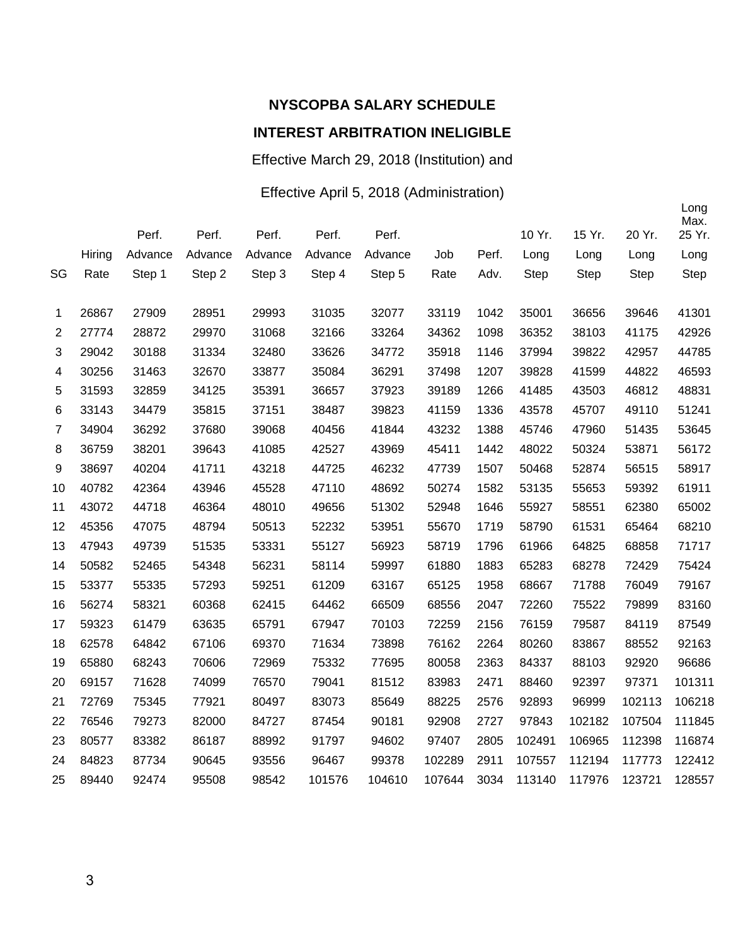# **NYSCOPBA SALARY SCHEDULE**

#### **INTEREST ARBITRATION INELIGIBLE**

Effective March 29, 2018 (Institution) and

#### Effective April 5, 2018 (Administration)

|                |        |         |         |         |         |         |        |       |             |             |        | Long<br>Max. |
|----------------|--------|---------|---------|---------|---------|---------|--------|-------|-------------|-------------|--------|--------------|
|                |        | Perf.   | Perf.   | Perf.   | Perf.   | Perf.   |        |       | 10 Yr.      | 15 Yr.      | 20 Yr. | 25 Yr.       |
|                | Hiring | Advance | Advance | Advance | Advance | Advance | Job    | Perf. | Long        | Long        | Long   | Long         |
| SG             | Rate   | Step 1  | Step 2  | Step 3  | Step 4  | Step 5  | Rate   | Adv.  | <b>Step</b> | <b>Step</b> | Step   | <b>Step</b>  |
| 1              | 26867  | 27909   | 28951   | 29993   | 31035   | 32077   | 33119  | 1042  | 35001       | 36656       | 39646  | 41301        |
| $\overline{2}$ | 27774  | 28872   | 29970   | 31068   | 32166   | 33264   | 34362  | 1098  | 36352       | 38103       | 41175  | 42926        |
| 3              | 29042  | 30188   | 31334   | 32480   | 33626   | 34772   | 35918  | 1146  | 37994       | 39822       | 42957  | 44785        |
| 4              | 30256  | 31463   | 32670   | 33877   | 35084   | 36291   | 37498  | 1207  | 39828       | 41599       | 44822  | 46593        |
| 5              | 31593  | 32859   | 34125   | 35391   | 36657   | 37923   | 39189  | 1266  | 41485       | 43503       | 46812  | 48831        |
| 6              | 33143  | 34479   | 35815   | 37151   | 38487   | 39823   | 41159  | 1336  | 43578       | 45707       | 49110  | 51241        |
| $\overline{7}$ | 34904  | 36292   | 37680   | 39068   | 40456   | 41844   | 43232  | 1388  | 45746       | 47960       | 51435  | 53645        |
| 8              | 36759  | 38201   | 39643   | 41085   | 42527   | 43969   | 45411  | 1442  | 48022       | 50324       | 53871  | 56172        |
| 9              | 38697  | 40204   | 41711   | 43218   | 44725   | 46232   | 47739  | 1507  | 50468       | 52874       | 56515  | 58917        |
| 10             | 40782  | 42364   | 43946   | 45528   | 47110   | 48692   | 50274  | 1582  | 53135       | 55653       | 59392  | 61911        |
| 11             | 43072  | 44718   | 46364   | 48010   | 49656   | 51302   | 52948  | 1646  | 55927       | 58551       | 62380  | 65002        |
| 12             | 45356  | 47075   | 48794   | 50513   | 52232   | 53951   | 55670  | 1719  | 58790       | 61531       | 65464  | 68210        |
| 13             | 47943  | 49739   | 51535   | 53331   | 55127   | 56923   | 58719  | 1796  | 61966       | 64825       | 68858  | 71717        |
| 14             | 50582  | 52465   | 54348   | 56231   | 58114   | 59997   | 61880  | 1883  | 65283       | 68278       | 72429  | 75424        |
| 15             | 53377  | 55335   | 57293   | 59251   | 61209   | 63167   | 65125  | 1958  | 68667       | 71788       | 76049  | 79167        |
| 16             | 56274  | 58321   | 60368   | 62415   | 64462   | 66509   | 68556  | 2047  | 72260       | 75522       | 79899  | 83160        |
| 17             | 59323  | 61479   | 63635   | 65791   | 67947   | 70103   | 72259  | 2156  | 76159       | 79587       | 84119  | 87549        |
| 18             | 62578  | 64842   | 67106   | 69370   | 71634   | 73898   | 76162  | 2264  | 80260       | 83867       | 88552  | 92163        |
| 19             | 65880  | 68243   | 70606   | 72969   | 75332   | 77695   | 80058  | 2363  | 84337       | 88103       | 92920  | 96686        |
| 20             | 69157  | 71628   | 74099   | 76570   | 79041   | 81512   | 83983  | 2471  | 88460       | 92397       | 97371  | 101311       |
| 21             | 72769  | 75345   | 77921   | 80497   | 83073   | 85649   | 88225  | 2576  | 92893       | 96999       | 102113 | 106218       |
| 22             | 76546  | 79273   | 82000   | 84727   | 87454   | 90181   | 92908  | 2727  | 97843       | 102182      | 107504 | 111845       |
| 23             | 80577  | 83382   | 86187   | 88992   | 91797   | 94602   | 97407  | 2805  | 102491      | 106965      | 112398 | 116874       |
| 24             | 84823  | 87734   | 90645   | 93556   | 96467   | 99378   | 102289 | 2911  | 107557      | 112194      | 117773 | 122412       |
| 25             | 89440  | 92474   | 95508   | 98542   | 101576  | 104610  | 107644 | 3034  | 113140      | 117976      | 123721 | 128557       |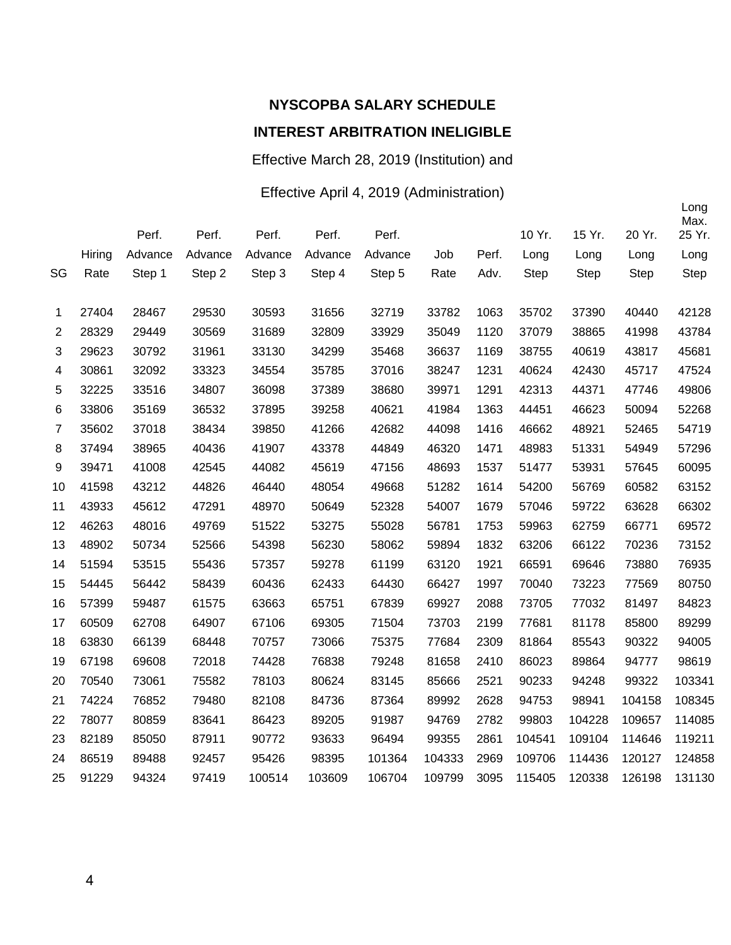Effective March 28, 2019 (Institution) and

#### Effective April 4, 2019 (Administration)

|                |        | Perf.   | Perf.   | Perf.   | Perf.   | Perf.   |        |       | 10 Yr. | 15 Yr.      | 20 Yr. | Long<br>Max.<br>25 Yr. |
|----------------|--------|---------|---------|---------|---------|---------|--------|-------|--------|-------------|--------|------------------------|
|                |        |         |         |         |         |         |        |       |        |             |        |                        |
|                | Hiring | Advance | Advance | Advance | Advance | Advance | Job    | Perf. | Long   | Long        | Long   | Long                   |
| SG             | Rate   | Step 1  | Step 2  | Step 3  | Step 4  | Step 5  | Rate   | Adv.  | Step   | <b>Step</b> | Step   | Step                   |
| 1              | 27404  | 28467   | 29530   | 30593   | 31656   | 32719   | 33782  | 1063  | 35702  | 37390       | 40440  | 42128                  |
| $\overline{2}$ | 28329  | 29449   | 30569   | 31689   | 32809   | 33929   | 35049  | 1120  | 37079  | 38865       | 41998  | 43784                  |
| 3              | 29623  | 30792   | 31961   | 33130   | 34299   | 35468   | 36637  | 1169  | 38755  | 40619       | 43817  | 45681                  |
| 4              | 30861  | 32092   | 33323   | 34554   | 35785   | 37016   | 38247  | 1231  | 40624  | 42430       | 45717  | 47524                  |
| 5              | 32225  | 33516   | 34807   | 36098   | 37389   | 38680   | 39971  | 1291  | 42313  | 44371       | 47746  | 49806                  |
| 6              | 33806  | 35169   | 36532   | 37895   | 39258   | 40621   | 41984  | 1363  | 44451  | 46623       | 50094  | 52268                  |
| $\overline{7}$ | 35602  | 37018   | 38434   | 39850   | 41266   | 42682   | 44098  | 1416  | 46662  | 48921       | 52465  | 54719                  |
| 8              | 37494  | 38965   | 40436   | 41907   | 43378   | 44849   | 46320  | 1471  | 48983  | 51331       | 54949  | 57296                  |
| 9              | 39471  | 41008   | 42545   | 44082   | 45619   | 47156   | 48693  | 1537  | 51477  | 53931       | 57645  | 60095                  |
| 10             | 41598  | 43212   | 44826   | 46440   | 48054   | 49668   | 51282  | 1614  | 54200  | 56769       | 60582  | 63152                  |
| 11             | 43933  | 45612   | 47291   | 48970   | 50649   | 52328   | 54007  | 1679  | 57046  | 59722       | 63628  | 66302                  |
| 12             | 46263  | 48016   | 49769   | 51522   | 53275   | 55028   | 56781  | 1753  | 59963  | 62759       | 66771  | 69572                  |
| 13             | 48902  | 50734   | 52566   | 54398   | 56230   | 58062   | 59894  | 1832  | 63206  | 66122       | 70236  | 73152                  |
| 14             | 51594  | 53515   | 55436   | 57357   | 59278   | 61199   | 63120  | 1921  | 66591  | 69646       | 73880  | 76935                  |
| 15             | 54445  | 56442   | 58439   | 60436   | 62433   | 64430   | 66427  | 1997  | 70040  | 73223       | 77569  | 80750                  |
| 16             | 57399  | 59487   | 61575   | 63663   | 65751   | 67839   | 69927  | 2088  | 73705  | 77032       | 81497  | 84823                  |
| 17             | 60509  | 62708   | 64907   | 67106   | 69305   | 71504   | 73703  | 2199  | 77681  | 81178       | 85800  | 89299                  |
| 18             | 63830  | 66139   | 68448   | 70757   | 73066   | 75375   | 77684  | 2309  | 81864  | 85543       | 90322  | 94005                  |
| 19             | 67198  | 69608   | 72018   | 74428   | 76838   | 79248   | 81658  | 2410  | 86023  | 89864       | 94777  | 98619                  |
| 20             | 70540  | 73061   | 75582   | 78103   | 80624   | 83145   | 85666  | 2521  | 90233  | 94248       | 99322  | 103341                 |
| 21             | 74224  | 76852   | 79480   | 82108   | 84736   | 87364   | 89992  | 2628  | 94753  | 98941       | 104158 | 108345                 |
| 22             | 78077  | 80859   | 83641   | 86423   | 89205   | 91987   | 94769  | 2782  | 99803  | 104228      | 109657 | 114085                 |
| 23             | 82189  | 85050   | 87911   | 90772   | 93633   | 96494   | 99355  | 2861  | 104541 | 109104      | 114646 | 119211                 |
| 24             | 86519  | 89488   | 92457   | 95426   | 98395   | 101364  | 104333 | 2969  | 109706 | 114436      | 120127 | 124858                 |
| 25             | 91229  | 94324   | 97419   | 100514  | 103609  | 106704  | 109799 | 3095  | 115405 | 120338      | 126198 | 131130                 |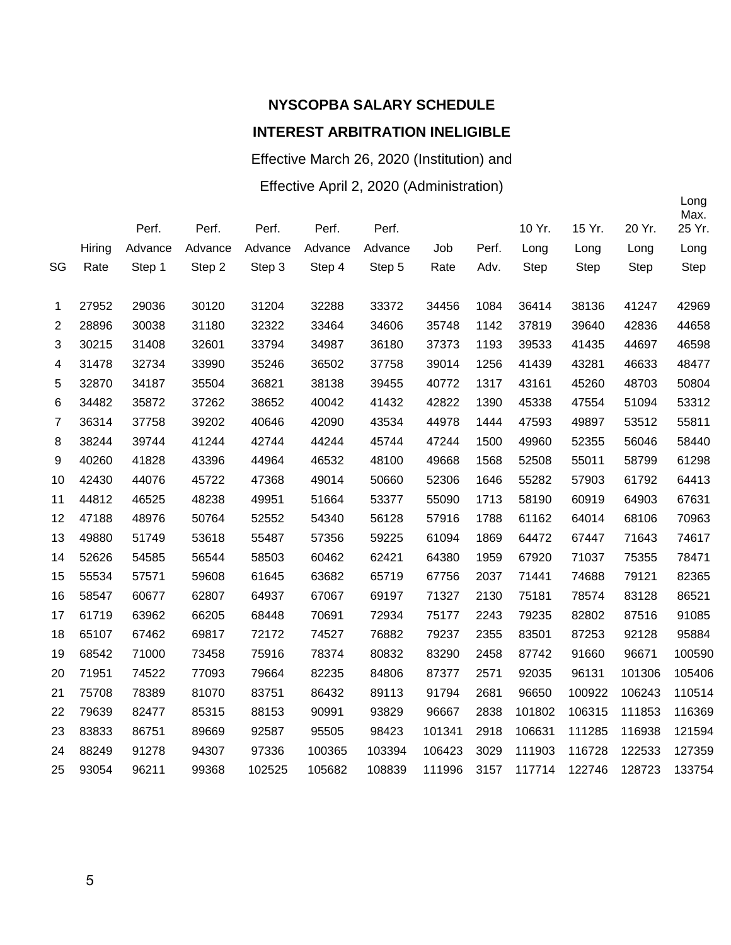Effective March 26, 2020 (Institution) and

Effective April 2, 2020 (Administration)

|                |        | Perf.   | Perf.   | Perf.   | Perf.   | Perf.   |        |       | 10 Yr. | 15 Yr.      | 20 Yr.      | Max.<br>25 Yr. |
|----------------|--------|---------|---------|---------|---------|---------|--------|-------|--------|-------------|-------------|----------------|
|                | Hiring | Advance | Advance | Advance | Advance | Advance | Job    | Perf. | Long   | Long        | Long        | Long           |
| SG             | Rate   | Step 1  | Step 2  | Step 3  | Step 4  | Step 5  | Rate   | Adv.  | Step   | <b>Step</b> | <b>Step</b> | <b>Step</b>    |
|                |        |         |         |         |         |         |        |       |        |             |             |                |
| 1              | 27952  | 29036   | 30120   | 31204   | 32288   | 33372   | 34456  | 1084  | 36414  | 38136       | 41247       | 42969          |
| 2              | 28896  | 30038   | 31180   | 32322   | 33464   | 34606   | 35748  | 1142  | 37819  | 39640       | 42836       | 44658          |
| 3              | 30215  | 31408   | 32601   | 33794   | 34987   | 36180   | 37373  | 1193  | 39533  | 41435       | 44697       | 46598          |
| 4              | 31478  | 32734   | 33990   | 35246   | 36502   | 37758   | 39014  | 1256  | 41439  | 43281       | 46633       | 48477          |
| 5              | 32870  | 34187   | 35504   | 36821   | 38138   | 39455   | 40772  | 1317  | 43161  | 45260       | 48703       | 50804          |
| 6              | 34482  | 35872   | 37262   | 38652   | 40042   | 41432   | 42822  | 1390  | 45338  | 47554       | 51094       | 53312          |
| $\overline{7}$ | 36314  | 37758   | 39202   | 40646   | 42090   | 43534   | 44978  | 1444  | 47593  | 49897       | 53512       | 55811          |
| 8              | 38244  | 39744   | 41244   | 42744   | 44244   | 45744   | 47244  | 1500  | 49960  | 52355       | 56046       | 58440          |
| 9              | 40260  | 41828   | 43396   | 44964   | 46532   | 48100   | 49668  | 1568  | 52508  | 55011       | 58799       | 61298          |
| 10             | 42430  | 44076   | 45722   | 47368   | 49014   | 50660   | 52306  | 1646  | 55282  | 57903       | 61792       | 64413          |
| 11             | 44812  | 46525   | 48238   | 49951   | 51664   | 53377   | 55090  | 1713  | 58190  | 60919       | 64903       | 67631          |
| 12             | 47188  | 48976   | 50764   | 52552   | 54340   | 56128   | 57916  | 1788  | 61162  | 64014       | 68106       | 70963          |
| 13             | 49880  | 51749   | 53618   | 55487   | 57356   | 59225   | 61094  | 1869  | 64472  | 67447       | 71643       | 74617          |
| 14             | 52626  | 54585   | 56544   | 58503   | 60462   | 62421   | 64380  | 1959  | 67920  | 71037       | 75355       | 78471          |
| 15             | 55534  | 57571   | 59608   | 61645   | 63682   | 65719   | 67756  | 2037  | 71441  | 74688       | 79121       | 82365          |
| 16             | 58547  | 60677   | 62807   | 64937   | 67067   | 69197   | 71327  | 2130  | 75181  | 78574       | 83128       | 86521          |
| 17             | 61719  | 63962   | 66205   | 68448   | 70691   | 72934   | 75177  | 2243  | 79235  | 82802       | 87516       | 91085          |
| 18             | 65107  | 67462   | 69817   | 72172   | 74527   | 76882   | 79237  | 2355  | 83501  | 87253       | 92128       | 95884          |
| 19             | 68542  | 71000   | 73458   | 75916   | 78374   | 80832   | 83290  | 2458  | 87742  | 91660       | 96671       | 100590         |
| 20             | 71951  | 74522   | 77093   | 79664   | 82235   | 84806   | 87377  | 2571  | 92035  | 96131       | 101306      | 105406         |
| 21             | 75708  | 78389   | 81070   | 83751   | 86432   | 89113   | 91794  | 2681  | 96650  | 100922      | 106243      | 110514         |
| 22             | 79639  | 82477   | 85315   | 88153   | 90991   | 93829   | 96667  | 2838  | 101802 | 106315      | 111853      | 116369         |
| 23             | 83833  | 86751   | 89669   | 92587   | 95505   | 98423   | 101341 | 2918  | 106631 | 111285      | 116938      | 121594         |
| 24             | 88249  | 91278   | 94307   | 97336   | 100365  | 103394  | 106423 | 3029  | 111903 | 116728      | 122533      | 127359         |
| 25             | 93054  | 96211   | 99368   | 102525  | 105682  | 108839  | 111996 | 3157  | 117714 | 122746      | 128723      | 133754         |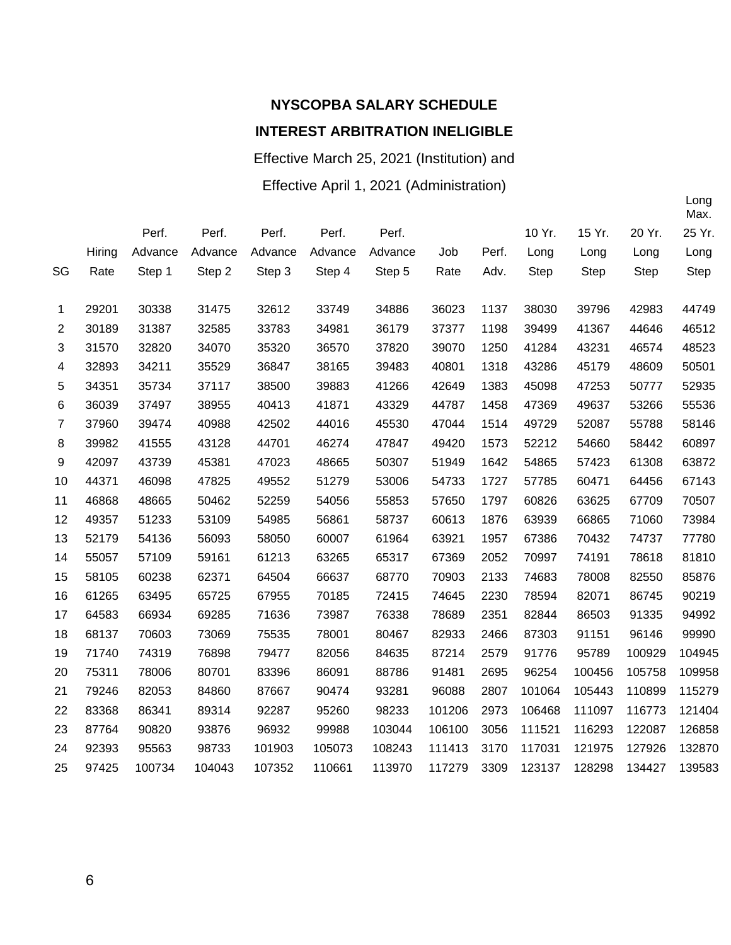Effective March 25, 2021 (Institution) and

Effective April 1, 2021 (Administration)

|                |        |         |         |         |         |         |        |       |             |             |             | Max.   |
|----------------|--------|---------|---------|---------|---------|---------|--------|-------|-------------|-------------|-------------|--------|
|                |        | Perf.   | Perf.   | Perf.   | Perf.   | Perf.   |        |       | 10 Yr.      | 15 Yr.      | 20 Yr.      | 25 Yr. |
|                | Hiring | Advance | Advance | Advance | Advance | Advance | Job    | Perf. | Long        | Long        | Long        | Long   |
| SG             | Rate   | Step 1  | Step 2  | Step 3  | Step 4  | Step 5  | Rate   | Adv.  | <b>Step</b> | <b>Step</b> | <b>Step</b> | Step   |
|                |        |         |         |         |         |         |        |       |             |             |             |        |
| 1              | 29201  | 30338   | 31475   | 32612   | 33749   | 34886   | 36023  | 1137  | 38030       | 39796       | 42983       | 44749  |
| $\overline{2}$ | 30189  | 31387   | 32585   | 33783   | 34981   | 36179   | 37377  | 1198  | 39499       | 41367       | 44646       | 46512  |
| 3              | 31570  | 32820   | 34070   | 35320   | 36570   | 37820   | 39070  | 1250  | 41284       | 43231       | 46574       | 48523  |
| 4              | 32893  | 34211   | 35529   | 36847   | 38165   | 39483   | 40801  | 1318  | 43286       | 45179       | 48609       | 50501  |
| 5              | 34351  | 35734   | 37117   | 38500   | 39883   | 41266   | 42649  | 1383  | 45098       | 47253       | 50777       | 52935  |
| 6              | 36039  | 37497   | 38955   | 40413   | 41871   | 43329   | 44787  | 1458  | 47369       | 49637       | 53266       | 55536  |
| $\overline{7}$ | 37960  | 39474   | 40988   | 42502   | 44016   | 45530   | 47044  | 1514  | 49729       | 52087       | 55788       | 58146  |
| 8              | 39982  | 41555   | 43128   | 44701   | 46274   | 47847   | 49420  | 1573  | 52212       | 54660       | 58442       | 60897  |
| 9              | 42097  | 43739   | 45381   | 47023   | 48665   | 50307   | 51949  | 1642  | 54865       | 57423       | 61308       | 63872  |
| 10             | 44371  | 46098   | 47825   | 49552   | 51279   | 53006   | 54733  | 1727  | 57785       | 60471       | 64456       | 67143  |
| 11             | 46868  | 48665   | 50462   | 52259   | 54056   | 55853   | 57650  | 1797  | 60826       | 63625       | 67709       | 70507  |
| 12             | 49357  | 51233   | 53109   | 54985   | 56861   | 58737   | 60613  | 1876  | 63939       | 66865       | 71060       | 73984  |
| 13             | 52179  | 54136   | 56093   | 58050   | 60007   | 61964   | 63921  | 1957  | 67386       | 70432       | 74737       | 77780  |
| 14             | 55057  | 57109   | 59161   | 61213   | 63265   | 65317   | 67369  | 2052  | 70997       | 74191       | 78618       | 81810  |
| 15             | 58105  | 60238   | 62371   | 64504   | 66637   | 68770   | 70903  | 2133  | 74683       | 78008       | 82550       | 85876  |
| 16             | 61265  | 63495   | 65725   | 67955   | 70185   | 72415   | 74645  | 2230  | 78594       | 82071       | 86745       | 90219  |
| 17             | 64583  | 66934   | 69285   | 71636   | 73987   | 76338   | 78689  | 2351  | 82844       | 86503       | 91335       | 94992  |
| 18             | 68137  | 70603   | 73069   | 75535   | 78001   | 80467   | 82933  | 2466  | 87303       | 91151       | 96146       | 99990  |
| 19             | 71740  | 74319   | 76898   | 79477   | 82056   | 84635   | 87214  | 2579  | 91776       | 95789       | 100929      | 104945 |
| 20             | 75311  | 78006   | 80701   | 83396   | 86091   | 88786   | 91481  | 2695  | 96254       | 100456      | 105758      | 109958 |
| 21             | 79246  | 82053   | 84860   | 87667   | 90474   | 93281   | 96088  | 2807  | 101064      | 105443      | 110899      | 115279 |
| 22             | 83368  | 86341   | 89314   | 92287   | 95260   | 98233   | 101206 | 2973  | 106468      | 111097      | 116773      | 121404 |
| 23             | 87764  | 90820   | 93876   | 96932   | 99988   | 103044  | 106100 | 3056  | 111521      | 116293      | 122087      | 126858 |
| 24             | 92393  | 95563   | 98733   | 101903  | 105073  | 108243  | 111413 | 3170  | 117031      | 121975      | 127926      | 132870 |
| 25             | 97425  | 100734  | 104043  | 107352  | 110661  | 113970  | 117279 | 3309  | 123137      | 128298      | 134427      | 139583 |
|                |        |         |         |         |         |         |        |       |             |             |             |        |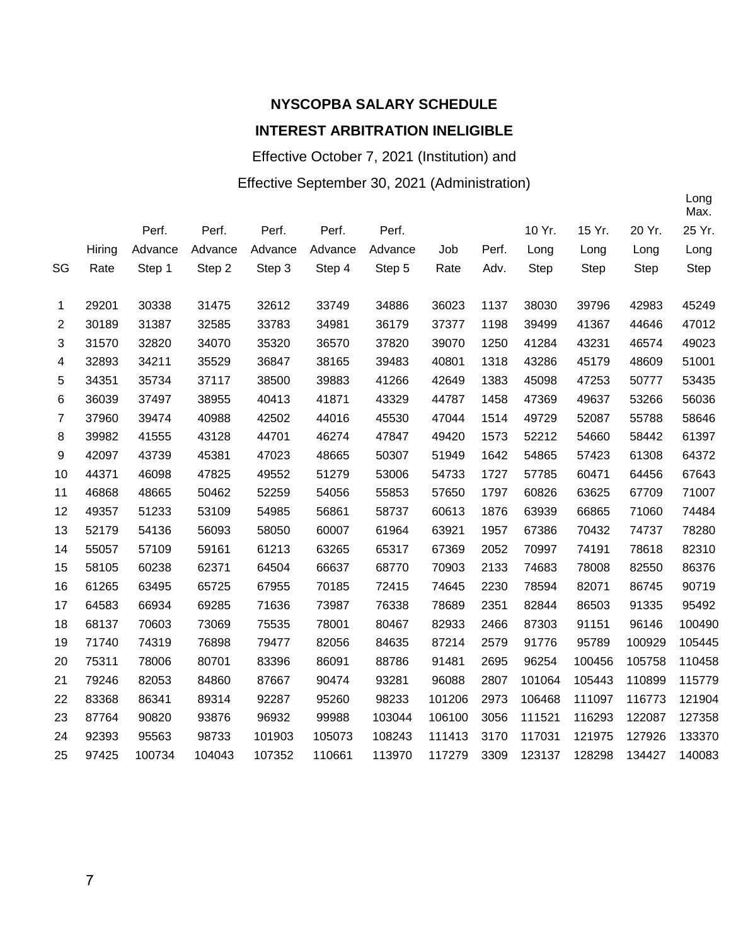Effective October 7, 2021 (Institution) and

#### Effective September 30, 2021 (Administration)

|    |        |         |         |         |         |         |        |       |             |             |        | Max.        |
|----|--------|---------|---------|---------|---------|---------|--------|-------|-------------|-------------|--------|-------------|
|    |        | Perf.   | Perf.   | Perf.   | Perf.   | Perf.   |        |       | 10 Yr.      | 15 Yr.      | 20 Yr. | 25 Yr.      |
|    | Hiring | Advance | Advance | Advance | Advance | Advance | Job    | Perf. | Long        | Long        | Long   | Long        |
| SG | Rate   | Step 1  | Step 2  | Step 3  | Step 4  | Step 5  | Rate   | Adv.  | <b>Step</b> | <b>Step</b> | Step   | <b>Step</b> |
|    |        |         |         |         |         |         |        |       |             |             |        |             |
| 1  | 29201  | 30338   | 31475   | 32612   | 33749   | 34886   | 36023  | 1137  | 38030       | 39796       | 42983  | 45249       |
| 2  | 30189  | 31387   | 32585   | 33783   | 34981   | 36179   | 37377  | 1198  | 39499       | 41367       | 44646  | 47012       |
| 3  | 31570  | 32820   | 34070   | 35320   | 36570   | 37820   | 39070  | 1250  | 41284       | 43231       | 46574  | 49023       |
| 4  | 32893  | 34211   | 35529   | 36847   | 38165   | 39483   | 40801  | 1318  | 43286       | 45179       | 48609  | 51001       |
| 5  | 34351  | 35734   | 37117   | 38500   | 39883   | 41266   | 42649  | 1383  | 45098       | 47253       | 50777  | 53435       |
| 6  | 36039  | 37497   | 38955   | 40413   | 41871   | 43329   | 44787  | 1458  | 47369       | 49637       | 53266  | 56036       |
| 7  | 37960  | 39474   | 40988   | 42502   | 44016   | 45530   | 47044  | 1514  | 49729       | 52087       | 55788  | 58646       |
| 8  | 39982  | 41555   | 43128   | 44701   | 46274   | 47847   | 49420  | 1573  | 52212       | 54660       | 58442  | 61397       |
| 9  | 42097  | 43739   | 45381   | 47023   | 48665   | 50307   | 51949  | 1642  | 54865       | 57423       | 61308  | 64372       |
| 10 | 44371  | 46098   | 47825   | 49552   | 51279   | 53006   | 54733  | 1727  | 57785       | 60471       | 64456  | 67643       |
| 11 | 46868  | 48665   | 50462   | 52259   | 54056   | 55853   | 57650  | 1797  | 60826       | 63625       | 67709  | 71007       |
| 12 | 49357  | 51233   | 53109   | 54985   | 56861   | 58737   | 60613  | 1876  | 63939       | 66865       | 71060  | 74484       |
| 13 | 52179  | 54136   | 56093   | 58050   | 60007   | 61964   | 63921  | 1957  | 67386       | 70432       | 74737  | 78280       |
| 14 | 55057  | 57109   | 59161   | 61213   | 63265   | 65317   | 67369  | 2052  | 70997       | 74191       | 78618  | 82310       |
| 15 | 58105  | 60238   | 62371   | 64504   | 66637   | 68770   | 70903  | 2133  | 74683       | 78008       | 82550  | 86376       |
| 16 | 61265  | 63495   | 65725   | 67955   | 70185   | 72415   | 74645  | 2230  | 78594       | 82071       | 86745  | 90719       |
| 17 | 64583  | 66934   | 69285   | 71636   | 73987   | 76338   | 78689  | 2351  | 82844       | 86503       | 91335  | 95492       |
| 18 | 68137  | 70603   | 73069   | 75535   | 78001   | 80467   | 82933  | 2466  | 87303       | 91151       | 96146  | 100490      |
| 19 | 71740  | 74319   | 76898   | 79477   | 82056   | 84635   | 87214  | 2579  | 91776       | 95789       | 100929 | 105445      |
| 20 | 75311  | 78006   | 80701   | 83396   | 86091   | 88786   | 91481  | 2695  | 96254       | 100456      | 105758 | 110458      |
| 21 | 79246  | 82053   | 84860   | 87667   | 90474   | 93281   | 96088  | 2807  | 101064      | 105443      | 110899 | 115779      |
| 22 | 83368  | 86341   | 89314   | 92287   | 95260   | 98233   | 101206 | 2973  | 106468      | 111097      | 116773 | 121904      |
| 23 | 87764  | 90820   | 93876   | 96932   | 99988   | 103044  | 106100 | 3056  | 111521      | 116293      | 122087 | 127358      |
| 24 | 92393  | 95563   | 98733   | 101903  | 105073  | 108243  | 111413 | 3170  | 117031      | 121975      | 127926 | 133370      |
| 25 | 97425  | 100734  | 104043  | 107352  | 110661  | 113970  | 117279 | 3309  | 123137      | 128298      | 134427 | 140083      |
|    |        |         |         |         |         |         |        |       |             |             |        |             |